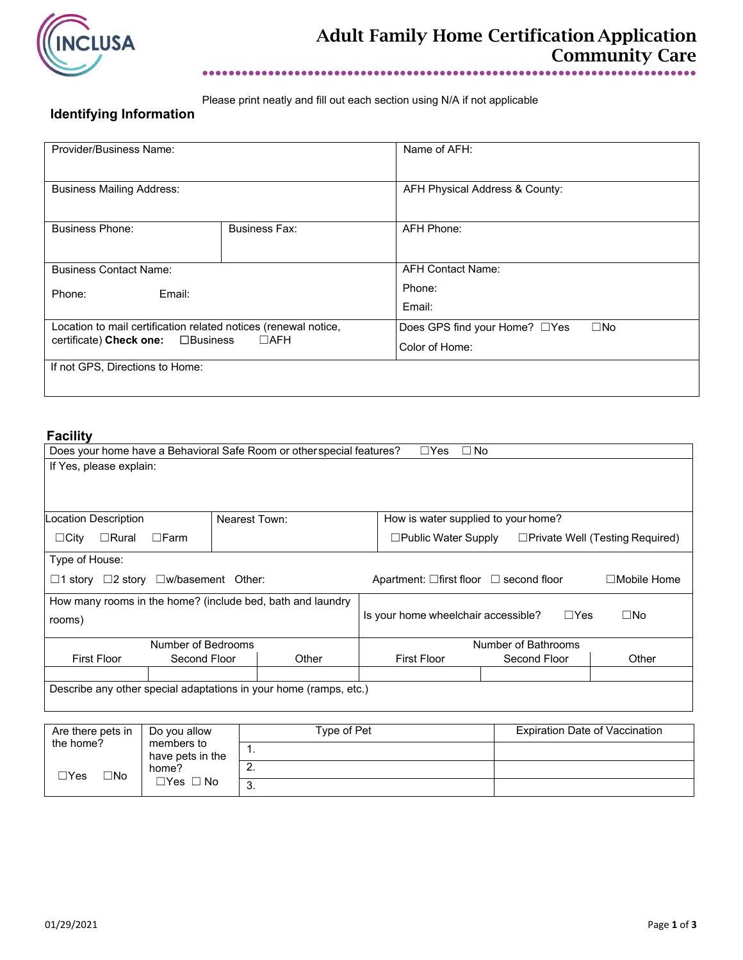

Please print neatly and fill out each section using N/A if not applicable

# **Identifying Information**

| Provider/Business Name:                                         |                      | Name of AFH:                                  |  |  |
|-----------------------------------------------------------------|----------------------|-----------------------------------------------|--|--|
| <b>Business Mailing Address:</b>                                |                      | AFH Physical Address & County:                |  |  |
| <b>Business Phone:</b>                                          | <b>Business Fax:</b> | AFH Phone:                                    |  |  |
| <b>Business Contact Name:</b>                                   |                      | <b>AFH Contact Name:</b>                      |  |  |
| Email:<br>Phone:                                                |                      | Phone:                                        |  |  |
|                                                                 |                      | Email:                                        |  |  |
| Location to mail certification related notices (renewal notice, |                      | Does GPS find your Home? □Yes<br>$\square$ No |  |  |
| certificate) Check one:<br>$\square$ Business                   | $\Box$ AFH           | Color of Home:                                |  |  |
| If not GPS, Directions to Home:                                 |                      |                                               |  |  |

# **Facility**

| Does your home have a Behavioral Safe Room or other special features?<br>$\Box Y$ es<br>$\Box$ No |              |                                                                   |                                                   |  |                                                                      |              |       |
|---------------------------------------------------------------------------------------------------|--------------|-------------------------------------------------------------------|---------------------------------------------------|--|----------------------------------------------------------------------|--------------|-------|
| If Yes, please explain:                                                                           |              |                                                                   |                                                   |  |                                                                      |              |       |
|                                                                                                   |              |                                                                   |                                                   |  |                                                                      |              |       |
|                                                                                                   |              |                                                                   |                                                   |  |                                                                      |              |       |
| Location Description<br>Nearest Town:                                                             |              | How is water supplied to your home?                               |                                                   |  |                                                                      |              |       |
| $\Box$ Rural<br>$\Box$ City                                                                       | $\Box$ Farm  |                                                                   |                                                   |  | $\Box$ Public Water Supply<br>$\Box$ Private Well (Testing Required) |              |       |
| Type of House:                                                                                    |              |                                                                   |                                                   |  |                                                                      |              |       |
| $\Box$ 1 story $\Box$ 2 story $\Box$ w/basement Other:                                            |              |                                                                   | Apartment: $\Box$ first floor $\Box$ second floor |  | $\Box$ Mobile Home                                                   |              |       |
| How many rooms in the home? (include bed, bath and laundry                                        |              |                                                                   |                                                   |  |                                                                      |              |       |
| rooms)                                                                                            |              | $\Box$ Yes<br>$\square$ No<br>Is your home wheelchair accessible? |                                                   |  |                                                                      |              |       |
|                                                                                                   |              |                                                                   |                                                   |  |                                                                      |              |       |
| Number of Bedrooms                                                                                |              |                                                                   | Number of Bathrooms                               |  |                                                                      |              |       |
| <b>First Floor</b>                                                                                | Second Floor |                                                                   | Other                                             |  | <b>First Floor</b>                                                   | Second Floor | Other |
|                                                                                                   |              |                                                                   |                                                   |  |                                                                      |              |       |
| Describe any other special adaptations in your home (ramps, etc.)                                 |              |                                                                   |                                                   |  |                                                                      |              |       |
|                                                                                                   |              |                                                                   |                                                   |  |                                                                      |              |       |
|                                                                                                   |              |                                                                   |                                                   |  |                                                                      |              |       |

| Are there pets in<br>Do you allow<br>the home?<br>members to<br>have pets in the |                               | Type of Pet | Expiration Date of Vaccination |
|----------------------------------------------------------------------------------|-------------------------------|-------------|--------------------------------|
|                                                                                  |                               | . .         |                                |
| O∕N⊡<br>$\sqsupset$ Yes                                                          | home?<br>$\Box$ Yes $\Box$ No |             |                                |
|                                                                                  |                               | J.          |                                |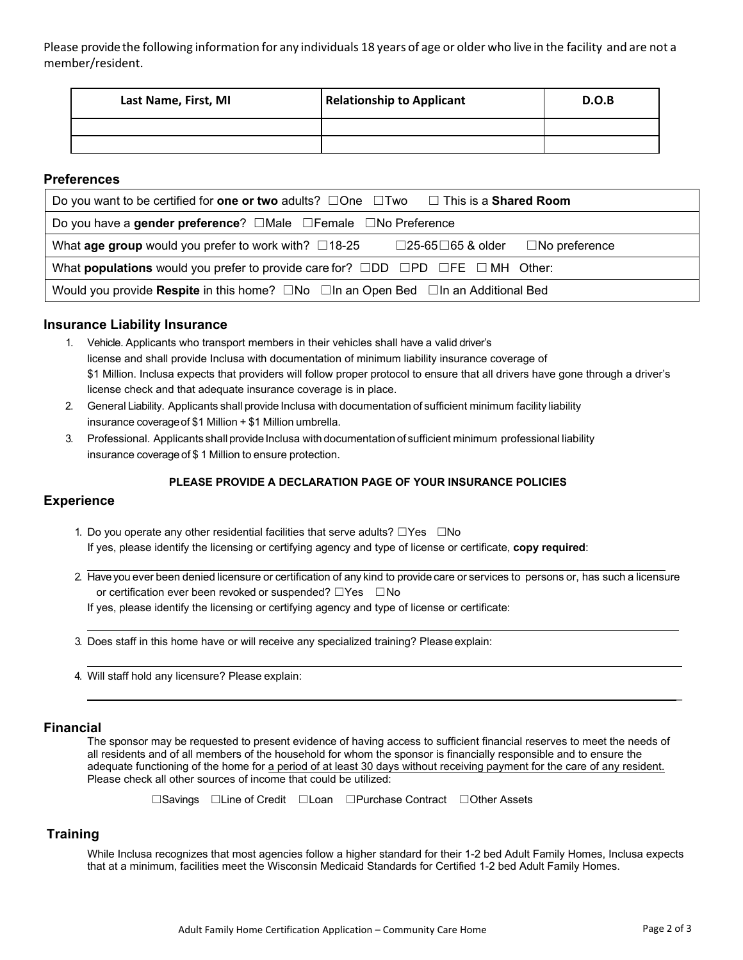Please providethe following information for any individuals 18 years of age or older who live in the facility and are not a member/resident.

| Last Name, First, MI | <b>Relationship to Applicant</b> | D.O.B |
|----------------------|----------------------------------|-------|
|                      |                                  |       |
|                      |                                  |       |

## **Preferences**

| Do you want to be certified for one or two adults? $\Box$ One $\Box$ Two $\Box$ This is a <b>Shared Room</b>             |  |  |  |
|--------------------------------------------------------------------------------------------------------------------------|--|--|--|
| Do you have a gender preference? $\Box$ Male $\Box$ Female $\Box$ No Preference                                          |  |  |  |
| What <b>age group</b> would you prefer to work with? $\Box$ 18-25<br>$\Box$ 25-65 $\Box$ 65 & older $\Box$ No preference |  |  |  |
| What <b>populations</b> would you prefer to provide care for? $\Box$ DD $\Box$ PD $\Box$ FE $\Box$ MH Other:             |  |  |  |
| Would you provide Respite in this home? $\Box$ No $\Box$ In an Open Bed $\Box$ In an Additional Bed                      |  |  |  |

### **Insurance Liability Insurance**

- 1. Vehicle. Applicants who transport members in their vehicles shall have a valid driver's license and shall provide Inclusa with documentation of minimum liability insurance coverage of \$1 Million. Inclusa expects that providers will follow proper protocol to ensure that all drivers have gone through a driver's license check and that adequate insurance coverage is in place.
- 2. General Liability. Applicants shall provide Inclusa with documentation of sufficient minimum facility liability insurance coverage of \$1 Million + \$1 Million umbrella.
- 3. Professional. Applicants shall provide Inclusa with documentation of sufficient minimum professional liability insurance coverage of \$ 1 Million to ensure protection.

#### **PLEASE PROVIDE A DECLARATION PAGE OF YOUR INSURANCE POLICIES**

## **Experience**

- 1. Do you operate any other residential facilities that serve adults? ☐Yes ☐No If yes, please identify the licensing or certifying agency and type of license or certificate, **copy required**:
- 2. Have you ever been denied licensure or certification of any kind to provide care or services to persons or, has such a licensure or certification ever been revoked or suspended? □Yes □No If yes, please identify the licensing or certifying agency and type of license or certificate:
- 3. Does staff in this home have or will receive any specialized training? Please explain:
- 4. Will staff hold any licensure? Please explain:

#### **Financial**

The sponsor may be requested to present evidence of having access to sufficient financial reserves to meet the needs of all residents and of all members of the household for whom the sponsor is financially responsible and to ensure the adequate functioning of the home for a period of at least 30 days without receiving payment for the care of any resident. Please check all other sources of income that could be utilized:

 $\mathcal{L}=\mathcal{L}=\mathcal{L}=\mathcal{L}=\mathcal{L}=\mathcal{L}=\mathcal{L}=\mathcal{L}=\mathcal{L}=\mathcal{L}=\mathcal{L}=\mathcal{L}=\mathcal{L}=\mathcal{L}=\mathcal{L}=\mathcal{L}=\mathcal{L}=\mathcal{L}=\mathcal{L}=\mathcal{L}=\mathcal{L}=\mathcal{L}=\mathcal{L}=\mathcal{L}=\mathcal{L}=\mathcal{L}=\mathcal{L}=\mathcal{L}=\mathcal{L}=\mathcal{L}=\mathcal{L}=\mathcal{L}=\mathcal{L}=\mathcal{L}=\mathcal{L}=\mathcal{L}=\mathcal{$ 

☐Savings ☐Line of Credit ☐Loan ☐Purchase Contract ☐Other Assets

## **Training**

While Inclusa recognizes that most agencies follow a higher standard for their 1-2 bed Adult Family Homes, Inclusa expects that at a minimum, facilities meet the Wisconsin Medicaid Standards for Certified 1-2 bed Adult Family Homes.